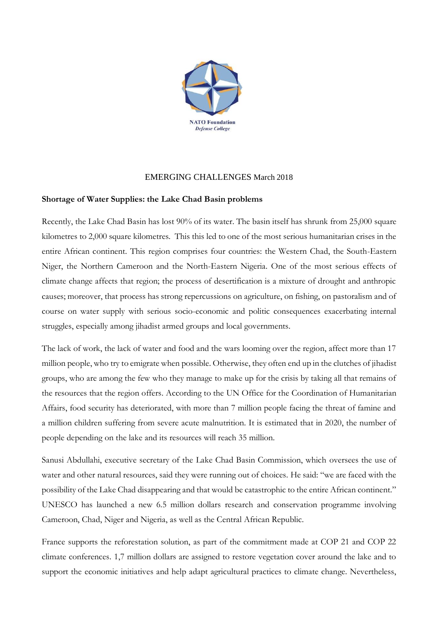

## EMERGING CHALLENGES March 2018

## **Shortage of Water Supplies: the Lake Chad Basin problems**

Recently, the Lake Chad Basin has lost 90% of its water. The basin itself has shrunk from 25,000 square kilometres to 2,000 square kilometres. This this led to one of the most serious humanitarian crises in the entire African continent. This region comprises four countries: the Western Chad, the South-Eastern Niger, the Northern Cameroon and the North-Eastern Nigeria. One of the most serious effects of climate change affects that region; the process of desertification is a mixture of drought and anthropic causes; moreover, that process has strong repercussions on agriculture, on fishing, on pastoralism and of course on water supply with serious socio-economic and politic consequences exacerbating internal struggles, especially among jihadist armed groups and local governments.

The lack of work, the lack of water and food and the wars looming over the region, affect more than 17 million people, who try to emigrate when possible. Otherwise, they often end up in the clutches of jihadist groups, who are among the few who they manage to make up for the crisis by taking all that remains of the resources that the region offers. According to the UN Office for the Coordination of Humanitarian Affairs, food security has deteriorated, with more than 7 million people facing the threat of famine and a million children suffering from severe acute malnutrition. It is estimated that in 2020, the number of people depending on the lake and its resources will reach 35 million.

Sanusi Abdullahi, executive secretary of the Lake Chad Basin Commission, which oversees the use of water and other natural resources, said they were running out of choices. He said: "we are faced with the possibility of the Lake Chad disappearing and that would be catastrophic to the entire African continent." UNESCO has launched a new 6.5 million dollars research and conservation programme involving Cameroon, Chad, Niger and Nigeria, as well as the Central African Republic.

France supports the reforestation solution, as part of the commitment made at COP 21 and COP 22 climate conferences. 1,7 million dollars are assigned to restore vegetation cover around the lake and to support the economic initiatives and help adapt agricultural practices to climate change. Nevertheless,